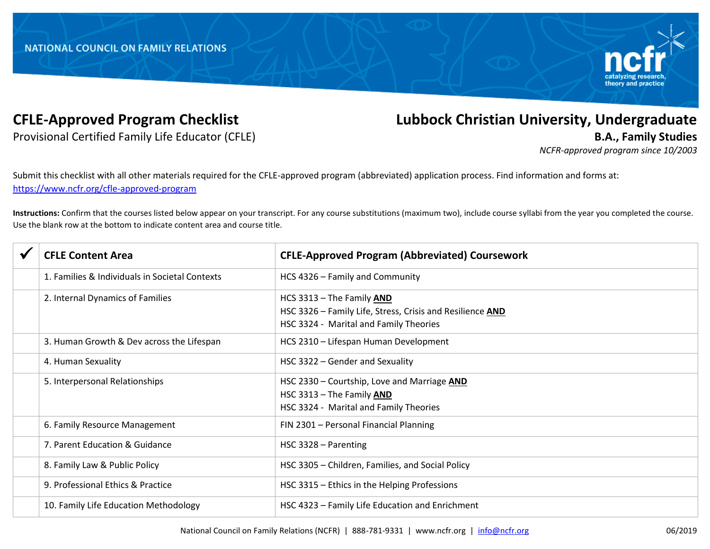

Provisional Certified Family Life Educator (CFLE) **B.A., Family Studies**

## **CFLE-Approved Program Checklist Lubbock Christian University, Undergraduate**

*NCFR-approved program since 10/2003*

Submit this checklist with all other materials required for the CFLE-approved program (abbreviated) application process. Find information and forms at: <https://www.ncfr.org/cfle-approved-program>

**Instructions:** Confirm that the courses listed below appear on your transcript. For any course substitutions (maximum two), include course syllabi from the year you completed the course. Use the blank row at the bottom to indicate content area and course title.

| <b>CFLE Content Area</b>                       | <b>CFLE-Approved Program (Abbreviated) Coursework</b>                                                                            |
|------------------------------------------------|----------------------------------------------------------------------------------------------------------------------------------|
| 1. Families & Individuals in Societal Contexts | HCS 4326 - Family and Community                                                                                                  |
| 2. Internal Dynamics of Families               | HCS 3313 - The Family AND<br>HSC 3326 - Family Life, Stress, Crisis and Resilience AND<br>HSC 3324 - Marital and Family Theories |
| 3. Human Growth & Dev across the Lifespan      | HCS 2310 - Lifespan Human Development                                                                                            |
| 4. Human Sexuality                             | HSC 3322 - Gender and Sexuality                                                                                                  |
| 5. Interpersonal Relationships                 | HSC 2330 - Courtship, Love and Marriage AND<br>HSC 3313 - The Family AND<br>HSC 3324 - Marital and Family Theories               |
| 6. Family Resource Management                  | FIN 2301 - Personal Financial Planning                                                                                           |
| 7. Parent Education & Guidance                 | HSC 3328 – Parenting                                                                                                             |
| 8. Family Law & Public Policy                  | HSC 3305 - Children, Families, and Social Policy                                                                                 |
| 9. Professional Ethics & Practice              | HSC 3315 - Ethics in the Helping Professions                                                                                     |
| 10. Family Life Education Methodology          | HSC 4323 - Family Life Education and Enrichment                                                                                  |